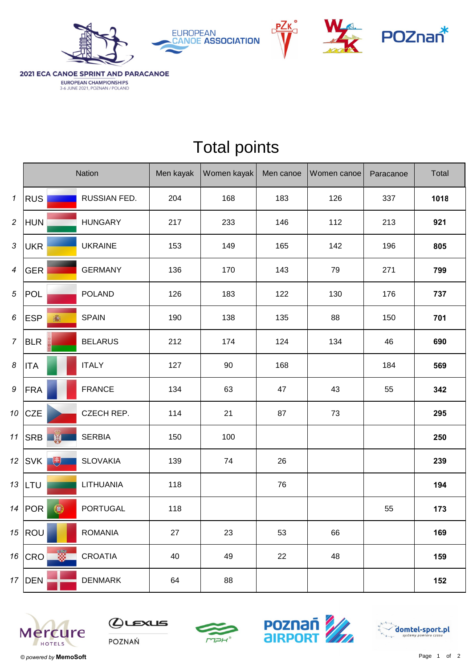







2021 ECA CANOE SPRINT AND PARACANOE EUROPEAN CHAMPIONSHIPS<br>3-6 JUNE 2021, POZNAN / POLAND

|                            |                          | Nation          | Men kayak | Women kayak | Men canoe | Women canoe | Paracanoe | Total |
|----------------------------|--------------------------|-----------------|-----------|-------------|-----------|-------------|-----------|-------|
| $\boldsymbol{\mathcal{I}}$ | <b>RUS</b>               | RUSSIAN FED.    | 204       | 168         | 183       | 126         | 337       | 1018  |
| $\overline{c}$             | <b>HUN</b>               | <b>HUNGARY</b>  | 217       | 233         | 146       | 112         | 213       | 921   |
| 3                          | <b>UKR</b>               | <b>UKRAINE</b>  | 153       | 149         | 165       | 142         | 196       | 805   |
| $\boldsymbol{4}$           | <b>GER</b>               | <b>GERMANY</b>  | 136       | 170         | 143       | 79          | 271       | 799   |
| 5                          | <b>POL</b>               | <b>POLAND</b>   | 126       | 183         | 122       | 130         | 176       | 737   |
| 6                          | <b>ESP</b><br>瓣          | <b>SPAIN</b>    | 190       | 138         | 135       | 88          | 150       | 701   |
| $\overline{7}$             | <b>BLR</b>               | <b>BELARUS</b>  | 212       | 174         | 124       | 134         | 46        | 690   |
| 8                          | <b>ITA</b>               | <b>ITALY</b>    | 127       | 90          | 168       |             | 184       | 569   |
| 9                          | FRA                      | <b>FRANCE</b>   | 134       | 63          | 47        | 43          | 55        | 342   |
| 10                         | <b>CZE</b>               | CZECH REP.      | 114       | 21          | 87        | 73          |           | 295   |
| 11                         | <b>AND STATE</b><br> SRB | <b>SERBIA</b>   | 150       | 100         |           |             |           | 250   |
|                            | 电<br>12 $ SVK $          | <b>SLOVAKIA</b> | 139       | 74          | 26        |             |           | 239   |
|                            | 13   LTU                 | LITHUANIA       | 118       |             | 76        |             |           | 194   |
|                            | $\bigcirc$<br>14 $ POR$  | <b>PORTUGAL</b> | 118       |             |           |             | 55        | 173   |
|                            | 15 $ ROU$                | <b>ROMANIA</b>  | 27        | 23          | 53        | 66          |           | 169   |
|                            | Ë.<br>$16$ CRO           | <b>CROATIA</b>  | 40        | 49          | 22        | 48          |           | 159   |
|                            | 17   DEN                 | <b>DENMARK</b>  | 64        | 88          |           |             |           | 152   |

## Total points